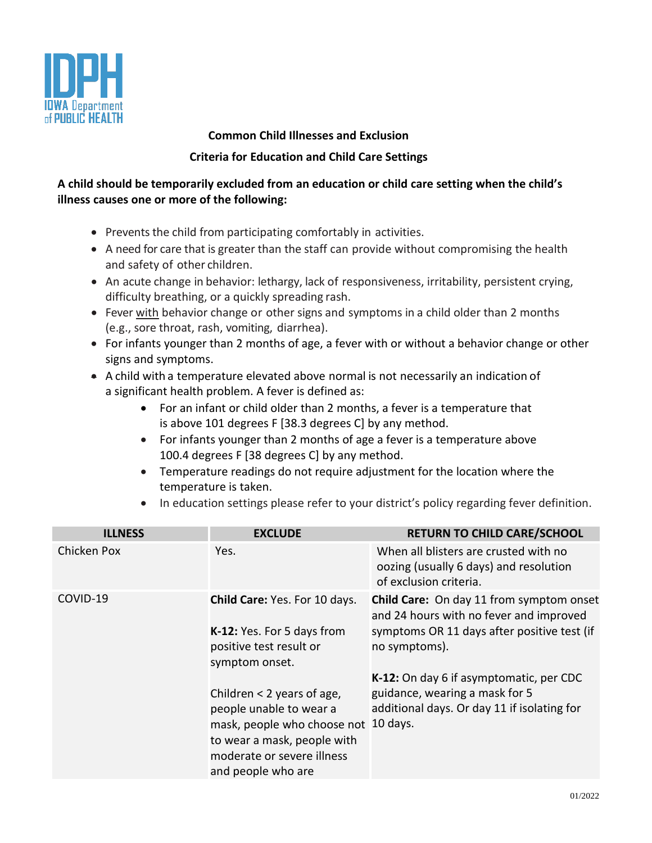

## **Common Child Illnesses and Exclusion**

## **Criteria for Education and Child Care Settings**

## **A child should be temporarily excluded from an education or child care setting when the child's illness causes one or more of the following:**

- Prevents the child from participating comfortably in activities.
- A need for care that is greater than the staff can provide without compromising the health and safety of other children.
- An acute change in behavior: lethargy, lack of responsiveness, irritability, persistent crying, difficulty breathing, or a quickly spreading rash.
- Fever with behavior change or other signs and symptoms in a child older than 2 months (e.g., sore throat, rash, vomiting, diarrhea).
- For infants younger than 2 months of age, a fever with or without a behavior change or other signs and symptoms.
- A child with a temperature elevated above normal is not necessarily an indication of a significant health problem. A fever is defined as:
	- For an infant or child older than 2 months, a fever is a temperature that is above 101 degrees F [38.3 degrees C] by any method.
	- For infants younger than 2 months of age a fever is a temperature above 100.4 degrees F [38 degrees C] by any method.
	- Temperature readings do not require adjustment for the location where the temperature is taken.
	- In education settings please refer to your district's policy regarding fever definition.

| <b>ILLNESS</b> | <b>EXCLUDE</b>                                                                                                                                                                                                                                                  | <b>RETURN TO CHILD CARE/SCHOOL</b>                                                                                                                                                                                                                                                          |
|----------------|-----------------------------------------------------------------------------------------------------------------------------------------------------------------------------------------------------------------------------------------------------------------|---------------------------------------------------------------------------------------------------------------------------------------------------------------------------------------------------------------------------------------------------------------------------------------------|
| Chicken Pox    | Yes.                                                                                                                                                                                                                                                            | When all blisters are crusted with no<br>oozing (usually 6 days) and resolution<br>of exclusion criteria.                                                                                                                                                                                   |
| COVID-19       | Child Care: Yes. For 10 days.<br>K-12: Yes. For 5 days from<br>positive test result or<br>symptom onset.<br>Children $<$ 2 years of age,<br>people unable to wear a<br>mask, people who choose not<br>to wear a mask, people with<br>moderate or severe illness | Child Care: On day 11 from symptom onset<br>and 24 hours with no fever and improved<br>symptoms OR 11 days after positive test (if<br>no symptoms).<br>K-12: On day 6 if asymptomatic, per CDC<br>guidance, wearing a mask for 5<br>additional days. Or day 11 if isolating for<br>10 days. |
|                | and people who are                                                                                                                                                                                                                                              |                                                                                                                                                                                                                                                                                             |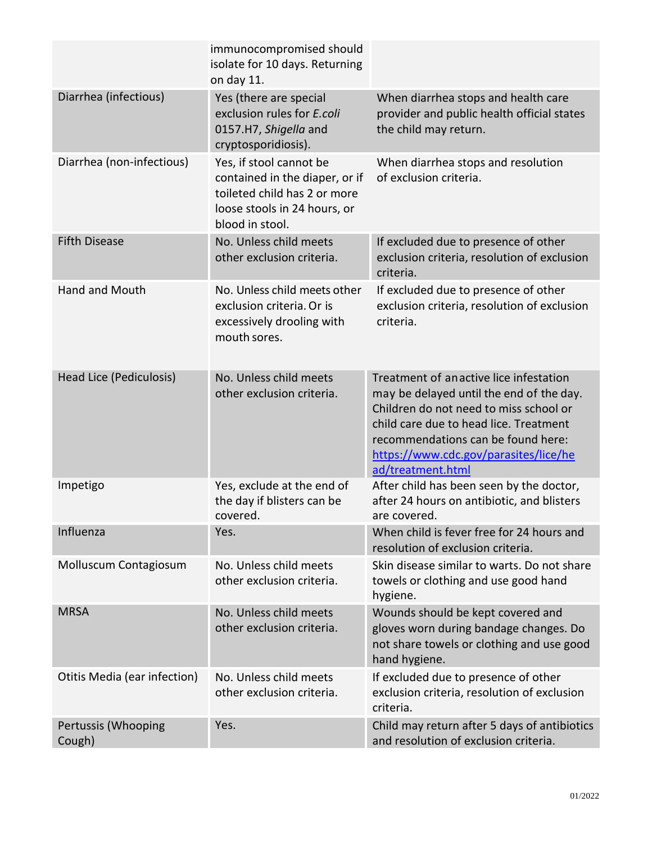|                               | immunocompromised should<br>isolate for 10 days. Returning<br>on day 11.                                                                     |                                                                                                                                                                                                                                                                            |
|-------------------------------|----------------------------------------------------------------------------------------------------------------------------------------------|----------------------------------------------------------------------------------------------------------------------------------------------------------------------------------------------------------------------------------------------------------------------------|
| Diarrhea (infectious)         | Yes (there are special<br>exclusion rules for E.coli<br>0157.H7, Shigella and<br>cryptosporidiosis).                                         | When diarrhea stops and health care<br>provider and public health official states<br>the child may return.                                                                                                                                                                 |
| Diarrhea (non-infectious)     | Yes, if stool cannot be<br>contained in the diaper, or if<br>toileted child has 2 or more<br>loose stools in 24 hours, or<br>blood in stool. | When diarrhea stops and resolution<br>of exclusion criteria.                                                                                                                                                                                                               |
| <b>Fifth Disease</b>          | No. Unless child meets<br>other exclusion criteria.                                                                                          | If excluded due to presence of other<br>exclusion criteria, resolution of exclusion<br>criteria.                                                                                                                                                                           |
| Hand and Mouth                | No. Unless child meets other<br>exclusion criteria. Or is<br>excessively drooling with<br>mouth sores.                                       | If excluded due to presence of other<br>exclusion criteria, resolution of exclusion<br>criteria.                                                                                                                                                                           |
| Head Lice (Pediculosis)       | No. Unless child meets<br>other exclusion criteria.                                                                                          | Treatment of anactive lice infestation<br>may be delayed until the end of the day.<br>Children do not need to miss school or<br>child care due to head lice. Treatment<br>recommendations can be found here:<br>https://www.cdc.gov/parasites/lice/he<br>ad/treatment.html |
| Impetigo                      | Yes, exclude at the end of<br>the day if blisters can be<br>covered.                                                                         | After child has been seen by the doctor,<br>after 24 hours on antibiotic, and blisters<br>are covered.                                                                                                                                                                     |
| Influenza                     | Yes.                                                                                                                                         | When child is fever free for 24 hours and<br>resolution of exclusion criteria.                                                                                                                                                                                             |
| Molluscum Contagiosum         | No. Unless child meets<br>other exclusion criteria.                                                                                          | Skin disease similar to warts. Do not share<br>towels or clothing and use good hand<br>hygiene.                                                                                                                                                                            |
| <b>MRSA</b>                   | No. Unless child meets<br>other exclusion criteria.                                                                                          | Wounds should be kept covered and<br>gloves worn during bandage changes. Do<br>not share towels or clothing and use good<br>hand hygiene.                                                                                                                                  |
| Otitis Media (ear infection)  | No. Unless child meets<br>other exclusion criteria.                                                                                          | If excluded due to presence of other<br>exclusion criteria, resolution of exclusion<br>criteria.                                                                                                                                                                           |
| Pertussis (Whooping<br>Cough) | Yes.                                                                                                                                         | Child may return after 5 days of antibiotics<br>and resolution of exclusion criteria.                                                                                                                                                                                      |